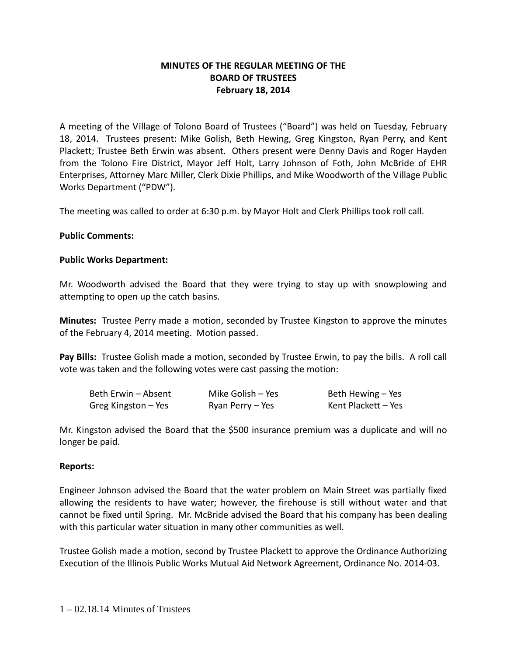# **MINUTES OF THE REGULAR MEETING OF THE BOARD OF TRUSTEES February 18, 2014**

A meeting of the Village of Tolono Board of Trustees ("Board") was held on Tuesday, February 18, 2014. Trustees present: Mike Golish, Beth Hewing, Greg Kingston, Ryan Perry, and Kent Plackett; Trustee Beth Erwin was absent. Others present were Denny Davis and Roger Hayden from the Tolono Fire District, Mayor Jeff Holt, Larry Johnson of Foth, John McBride of EHR Enterprises, Attorney Marc Miller, Clerk Dixie Phillips, and Mike Woodworth of the Village Public Works Department ("PDW").

The meeting was called to order at 6:30 p.m. by Mayor Holt and Clerk Phillips took roll call.

### **Public Comments:**

### **Public Works Department:**

Mr. Woodworth advised the Board that they were trying to stay up with snowplowing and attempting to open up the catch basins.

**Minutes:** Trustee Perry made a motion, seconded by Trustee Kingston to approve the minutes of the February 4, 2014 meeting. Motion passed.

**Pay Bills:** Trustee Golish made a motion, seconded by Trustee Erwin, to pay the bills. A roll call vote was taken and the following votes were cast passing the motion:

| Beth Erwin - Absent | Mike Golish – Yes | Beth Hewing – Yes   |
|---------------------|-------------------|---------------------|
| Greg Kingston – Yes | Ryan Perry - Yes  | Kent Plackett - Yes |

Mr. Kingston advised the Board that the \$500 insurance premium was a duplicate and will no longer be paid.

### **Reports:**

Engineer Johnson advised the Board that the water problem on Main Street was partially fixed allowing the residents to have water; however, the firehouse is still without water and that cannot be fixed until Spring. Mr. McBride advised the Board that his company has been dealing with this particular water situation in many other communities as well.

Trustee Golish made a motion, second by Trustee Plackett to approve the Ordinance Authorizing Execution of the Illinois Public Works Mutual Aid Network Agreement, Ordinance No. 2014-03.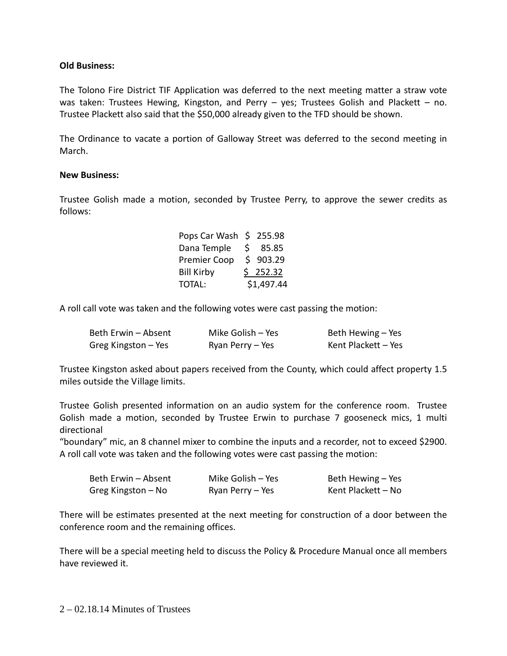## **Old Business:**

The Tolono Fire District TIF Application was deferred to the next meeting matter a straw vote was taken: Trustees Hewing, Kingston, and Perry - yes; Trustees Golish and Plackett - no. Trustee Plackett also said that the \$50,000 already given to the TFD should be shown.

The Ordinance to vacate a portion of Galloway Street was deferred to the second meeting in March.

### **New Business:**

Trustee Golish made a motion, seconded by Trustee Perry, to approve the sewer credits as follows:

| Pops Car Wash \$ 255.98 |            |
|-------------------------|------------|
| Dana Temple \$ 85.85    |            |
| Premier Coop            | \$903.29   |
| <b>Bill Kirby</b>       | \$252.32   |
| TOTAL:                  | \$1,497.44 |

A roll call vote was taken and the following votes were cast passing the motion:

| Beth Erwin - Absent | Mike Golish - Yes | Beth Hewing – Yes   |
|---------------------|-------------------|---------------------|
| Greg Kingston – Yes | Ryan Perry – Yes  | Kent Plackett - Yes |

Trustee Kingston asked about papers received from the County, which could affect property 1.5 miles outside the Village limits.

Trustee Golish presented information on an audio system for the conference room. Trustee Golish made a motion, seconded by Trustee Erwin to purchase 7 gooseneck mics, 1 multi directional

"boundary" mic, an 8 channel mixer to combine the inputs and a recorder, not to exceed \$2900. A roll call vote was taken and the following votes were cast passing the motion:

| Beth Erwin - Absent | Mike Golish - Yes | Beth Hewing – Yes  |
|---------------------|-------------------|--------------------|
| Greg Kingston – No  | Ryan Perry - Yes  | Kent Plackett - No |

There will be estimates presented at the next meeting for construction of a door between the conference room and the remaining offices.

There will be a special meeting held to discuss the Policy & Procedure Manual once all members have reviewed it.